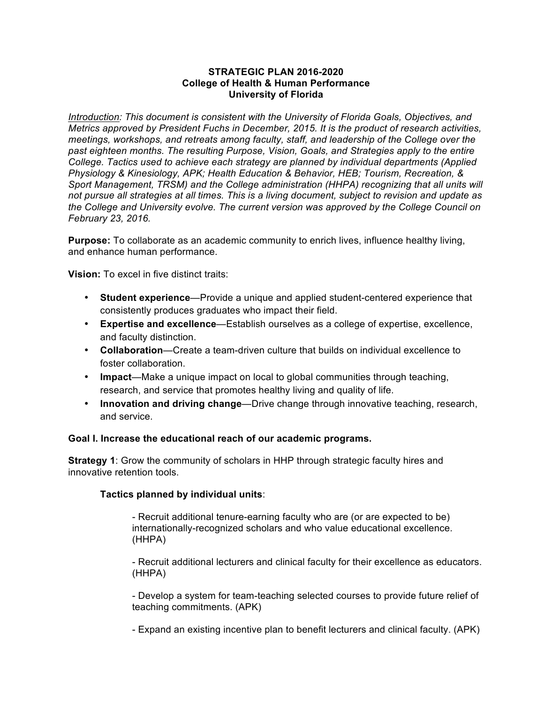# **STRATEGIC PLAN 2016-2020 College of Health & Human Performance University of Florida**

*Introduction: This document is consistent with the University of Florida Goals, Objectives, and Metrics approved by President Fuchs in December, 2015. It is the product of research activities, meetings, workshops, and retreats among faculty, staff, and leadership of the College over the past eighteen months. The resulting Purpose, Vision, Goals, and Strategies apply to the entire College. Tactics used to achieve each strategy are planned by individual departments (Applied Physiology & Kinesiology, APK; Health Education & Behavior, HEB; Tourism, Recreation, & Sport Management, TRSM) and the College administration (HHPA) recognizing that all units will not pursue all strategies at all times. This is a living document, subject to revision and update as the College and University evolve. The current version was approved by the College Council on February 23, 2016.*

**Purpose:** To collaborate as an academic community to enrich lives, influence healthy living, and enhance human performance.

**Vision:** To excel in five distinct traits:

- **Student experience**—Provide a unique and applied student-centered experience that consistently produces graduates who impact their field.
- **Expertise and excellence**—Establish ourselves as a college of expertise, excellence, and faculty distinction.
- **Collaboration**—Create a team-driven culture that builds on individual excellence to foster collaboration.
- **Impact**—Make a unique impact on local to global communities through teaching, research, and service that promotes healthy living and quality of life.
- **Innovation and driving change**—Drive change through innovative teaching, research, and service.

# **Goal I. Increase the educational reach of our academic programs.**

**Strategy 1**: Grow the community of scholars in HHP through strategic faculty hires and innovative retention tools.

# **Tactics planned by individual units**:

- Recruit additional tenure-earning faculty who are (or are expected to be) internationally-recognized scholars and who value educational excellence. (HHPA)

- Recruit additional lecturers and clinical faculty for their excellence as educators. (HHPA)

- Develop a system for team-teaching selected courses to provide future relief of teaching commitments. (APK)

- Expand an existing incentive plan to benefit lecturers and clinical faculty. (APK)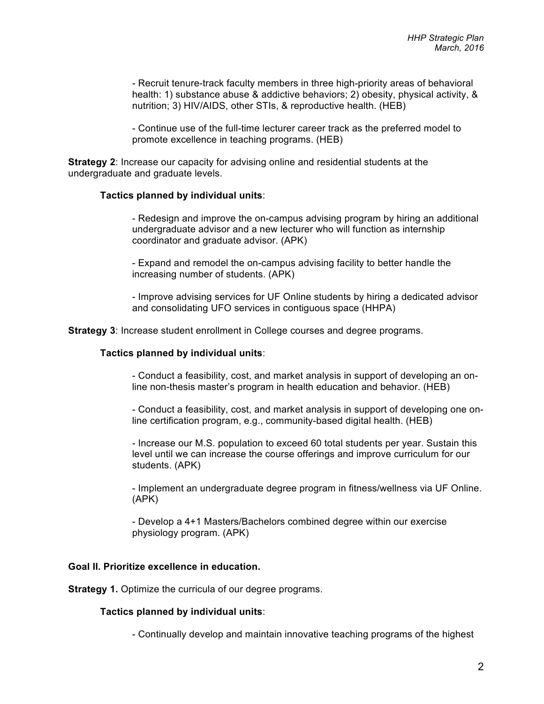- Recruit tenure-track faculty members in three high-priority areas of behavioral health: 1) substance abuse & addictive behaviors; 2) obesity, physical activity, & nutrition; 3) HIV/AIDS, other STIs, & reproductive health. (HEB)

- Continue use of the full-time lecturer career track as the preferred model to promote excellence in teaching programs. (HEB)

**Strategy 2**: Increase our capacity for advising online and residential students at the undergraduate and graduate levels.

## **Tactics planned by individual units**:

- Redesign and improve the on-campus advising program by hiring an additional undergraduate advisor and a new lecturer who will function as internship coordinator and graduate advisor. (APK)

- Expand and remodel the on-campus advising facility to better handle the increasing number of students. (APK)

- Improve advising services for UF Online students by hiring a dedicated advisor and consolidating UFO services in contiguous space (HHPA)

**Strategy 3**: Increase student enrollment in College courses and degree programs.

## **Tactics planned by individual units**:

- Conduct a feasibility, cost, and market analysis in support of developing an online non-thesis master's program in health education and behavior. (HEB)

- Conduct a feasibility, cost, and market analysis in support of developing one online certification program, e.g., community-based digital health. (HEB)

- Increase our M.S. population to exceed 60 total students per year. Sustain this level until we can increase the course offerings and improve curriculum for our students. (APK)

- Implement an undergraduate degree program in fitness/wellness via UF Online. (APK)

- Develop a 4+1 Masters/Bachelors combined degree within our exercise physiology program. (APK)

# **Goal II. Prioritize excellence in education.**

**Strategy 1.** Optimize the curricula of our degree programs.

# **Tactics planned by individual units**:

- Continually develop and maintain innovative teaching programs of the highest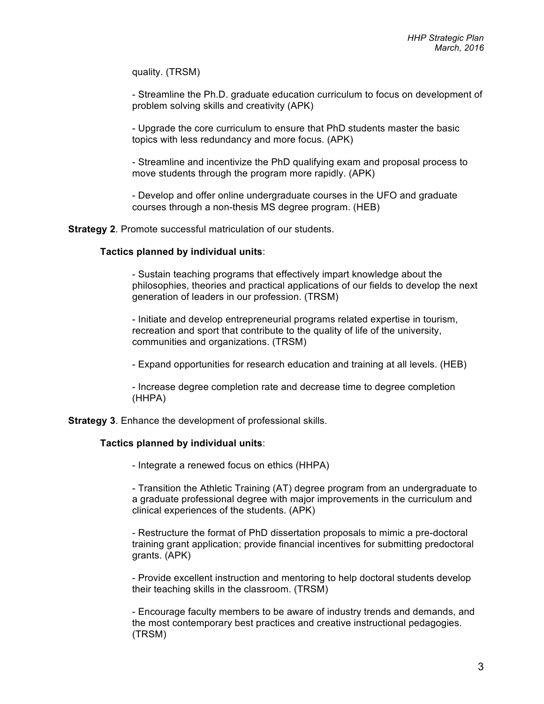quality. (TRSM)

- Streamline the Ph.D. graduate education curriculum to focus on development of problem solving skills and creativity (APK)

- Upgrade the core curriculum to ensure that PhD students master the basic topics with less redundancy and more focus. (APK)

- Streamline and incentivize the PhD qualifying exam and proposal process to move students through the program more rapidly. (APK)

- Develop and offer online undergraduate courses in the UFO and graduate courses through a non-thesis MS degree program. (HEB)

**Strategy 2**. Promote successful matriculation of our students.

## **Tactics planned by individual units**:

- Sustain teaching programs that effectively impart knowledge about the philosophies, theories and practical applications of our fields to develop the next generation of leaders in our profession. (TRSM)

- Initiate and develop entrepreneurial programs related expertise in tourism, recreation and sport that contribute to the quality of life of the university, communities and organizations. (TRSM)

- Expand opportunities for research education and training at all levels. (HEB)

- Increase degree completion rate and decrease time to degree completion (HHPA)

**Strategy 3**. Enhance the development of professional skills.

### **Tactics planned by individual units**:

- Integrate a renewed focus on ethics (HHPA)

- Transition the Athletic Training (AT) degree program from an undergraduate to a graduate professional degree with major improvements in the curriculum and clinical experiences of the students. (APK)

- Restructure the format of PhD dissertation proposals to mimic a pre-doctoral training grant application; provide financial incentives for submitting predoctoral grants. (APK)

- Provide excellent instruction and mentoring to help doctoral students develop their teaching skills in the classroom. (TRSM)

- Encourage faculty members to be aware of industry trends and demands, and the most contemporary best practices and creative instructional pedagogies. (TRSM)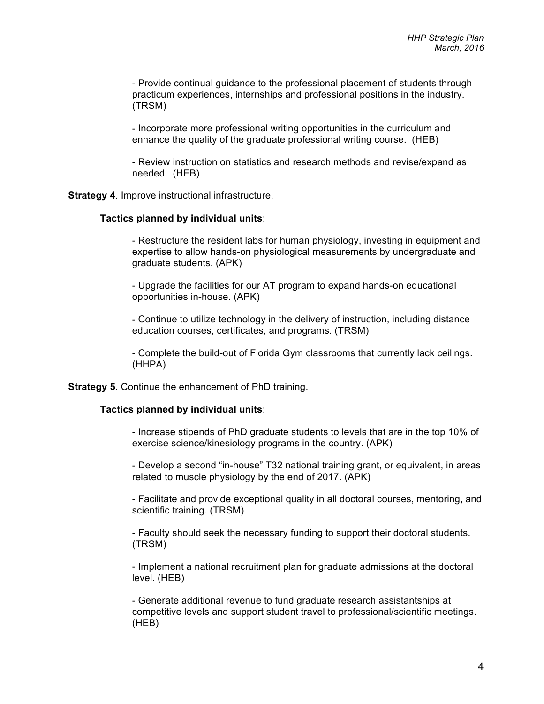- Provide continual guidance to the professional placement of students through practicum experiences, internships and professional positions in the industry. (TRSM)

- Incorporate more professional writing opportunities in the curriculum and enhance the quality of the graduate professional writing course. (HEB)

- Review instruction on statistics and research methods and revise/expand as needed. (HEB)

**Strategy 4.** Improve instructional infrastructure.

## **Tactics planned by individual units**:

- Restructure the resident labs for human physiology, investing in equipment and expertise to allow hands-on physiological measurements by undergraduate and graduate students. (APK)

- Upgrade the facilities for our AT program to expand hands-on educational opportunities in-house. (APK)

- Continue to utilize technology in the delivery of instruction, including distance education courses, certificates, and programs. (TRSM)

- Complete the build-out of Florida Gym classrooms that currently lack ceilings. (HHPA)

**Strategy 5**. Continue the enhancement of PhD training.

### **Tactics planned by individual units**:

- Increase stipends of PhD graduate students to levels that are in the top 10% of exercise science/kinesiology programs in the country. (APK)

- Develop a second "in-house" T32 national training grant, or equivalent, in areas related to muscle physiology by the end of 2017. (APK)

- Facilitate and provide exceptional quality in all doctoral courses, mentoring, and scientific training. (TRSM)

- Faculty should seek the necessary funding to support their doctoral students. (TRSM)

- Implement a national recruitment plan for graduate admissions at the doctoral level. (HEB)

- Generate additional revenue to fund graduate research assistantships at competitive levels and support student travel to professional/scientific meetings. (HEB)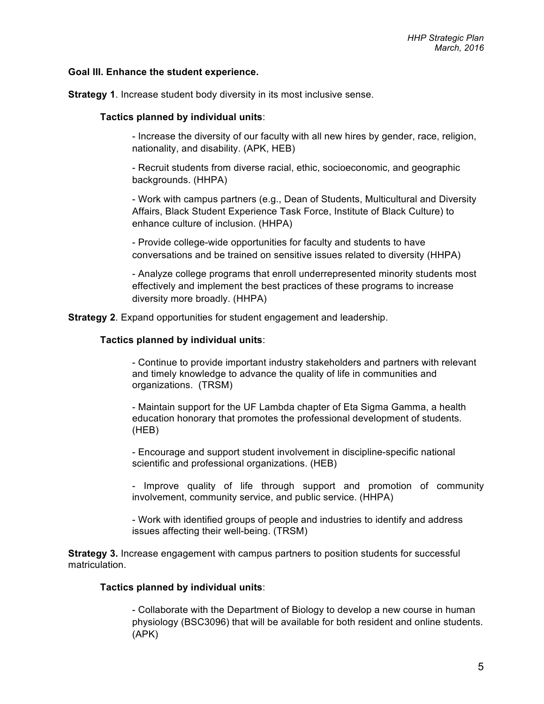# **Goal III. Enhance the student experience.**

**Strategy 1.** Increase student body diversity in its most inclusive sense.

# **Tactics planned by individual units**:

- Increase the diversity of our faculty with all new hires by gender, race, religion, nationality, and disability. (APK, HEB)

- Recruit students from diverse racial, ethic, socioeconomic, and geographic backgrounds. (HHPA)

- Work with campus partners (e.g., Dean of Students, Multicultural and Diversity Affairs, Black Student Experience Task Force, Institute of Black Culture) to enhance culture of inclusion. (HHPA)

- Provide college-wide opportunities for faculty and students to have conversations and be trained on sensitive issues related to diversity (HHPA)

- Analyze college programs that enroll underrepresented minority students most effectively and implement the best practices of these programs to increase diversity more broadly. (HHPA)

**Strategy 2**. Expand opportunities for student engagement and leadership.

# **Tactics planned by individual units**:

- Continue to provide important industry stakeholders and partners with relevant and timely knowledge to advance the quality of life in communities and organizations. (TRSM)

- Maintain support for the UF Lambda chapter of Eta Sigma Gamma, a health education honorary that promotes the professional development of students. (HEB)

- Encourage and support student involvement in discipline-specific national scientific and professional organizations. (HEB)

- Improve quality of life through support and promotion of community involvement, community service, and public service. (HHPA)

- Work with identified groups of people and industries to identify and address issues affecting their well-being. (TRSM)

**Strategy 3.** Increase engagement with campus partners to position students for successful matriculation.

# **Tactics planned by individual units**:

- Collaborate with the Department of Biology to develop a new course in human physiology (BSC3096) that will be available for both resident and online students. (APK)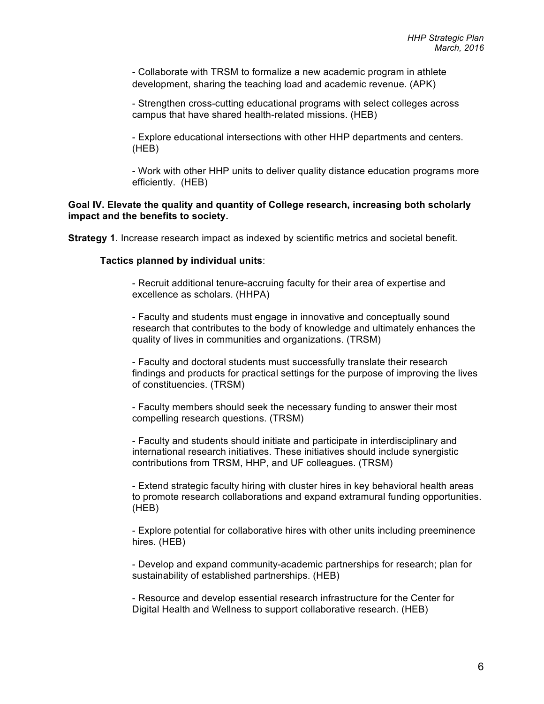- Collaborate with TRSM to formalize a new academic program in athlete development, sharing the teaching load and academic revenue. (APK)

- Strengthen cross-cutting educational programs with select colleges across campus that have shared health-related missions. (HEB)

- Explore educational intersections with other HHP departments and centers. (HEB)

- Work with other HHP units to deliver quality distance education programs more efficiently. (HEB)

# **Goal IV. Elevate the quality and quantity of College research, increasing both scholarly impact and the benefits to society.**

**Strategy 1**. Increase research impact as indexed by scientific metrics and societal benefit.

### **Tactics planned by individual units**:

- Recruit additional tenure-accruing faculty for their area of expertise and excellence as scholars. (HHPA)

- Faculty and students must engage in innovative and conceptually sound research that contributes to the body of knowledge and ultimately enhances the quality of lives in communities and organizations. (TRSM)

- Faculty and doctoral students must successfully translate their research findings and products for practical settings for the purpose of improving the lives of constituencies. (TRSM)

- Faculty members should seek the necessary funding to answer their most compelling research questions. (TRSM)

- Faculty and students should initiate and participate in interdisciplinary and international research initiatives. These initiatives should include synergistic contributions from TRSM, HHP, and UF colleagues. (TRSM)

- Extend strategic faculty hiring with cluster hires in key behavioral health areas to promote research collaborations and expand extramural funding opportunities. (HEB)

- Explore potential for collaborative hires with other units including preeminence hires. (HEB)

- Develop and expand community-academic partnerships for research; plan for sustainability of established partnerships. (HEB)

- Resource and develop essential research infrastructure for the Center for Digital Health and Wellness to support collaborative research. (HEB)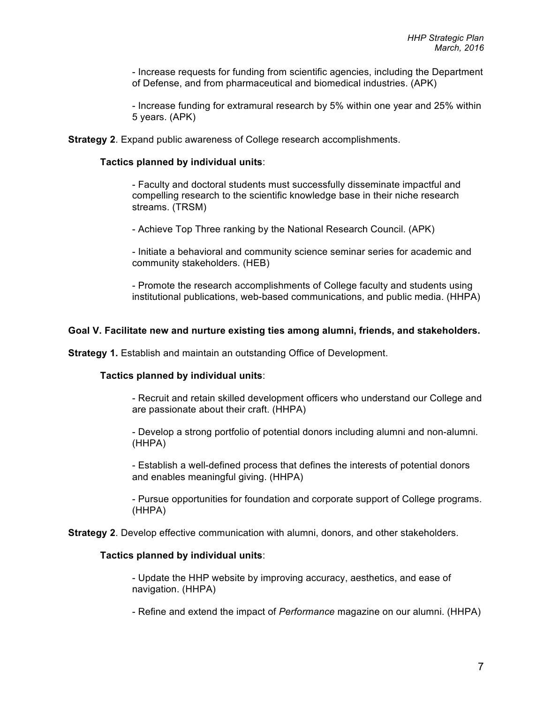- Increase requests for funding from scientific agencies, including the Department of Defense, and from pharmaceutical and biomedical industries. (APK)

- Increase funding for extramural research by 5% within one year and 25% within 5 years. (APK)

**Strategy 2**. Expand public awareness of College research accomplishments.

### **Tactics planned by individual units**:

- Faculty and doctoral students must successfully disseminate impactful and compelling research to the scientific knowledge base in their niche research streams. (TRSM)

- Achieve Top Three ranking by the National Research Council. (APK)

- Initiate a behavioral and community science seminar series for academic and community stakeholders. (HEB)

- Promote the research accomplishments of College faculty and students using institutional publications, web-based communications, and public media. (HHPA)

#### **Goal V. Facilitate new and nurture existing ties among alumni, friends, and stakeholders.**

**Strategy 1.** Establish and maintain an outstanding Office of Development.

## **Tactics planned by individual units**:

- Recruit and retain skilled development officers who understand our College and are passionate about their craft. (HHPA)

- Develop a strong portfolio of potential donors including alumni and non-alumni. (HHPA)

- Establish a well-defined process that defines the interests of potential donors and enables meaningful giving. (HHPA)

- Pursue opportunities for foundation and corporate support of College programs. (HHPA)

**Strategy 2**. Develop effective communication with alumni, donors, and other stakeholders.

### **Tactics planned by individual units**:

- Update the HHP website by improving accuracy, aesthetics, and ease of navigation. (HHPA)

- Refine and extend the impact of *Performance* magazine on our alumni. (HHPA)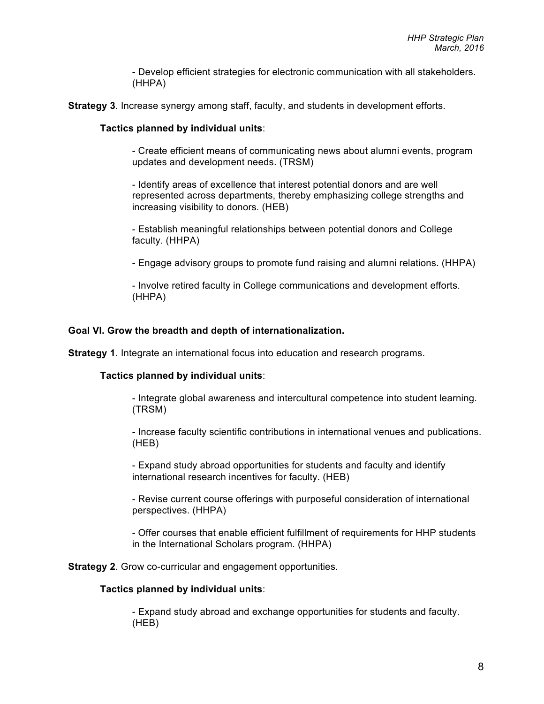- Develop efficient strategies for electronic communication with all stakeholders. (HHPA)

**Strategy 3**. Increase synergy among staff, faculty, and students in development efforts.

## **Tactics planned by individual units**:

- Create efficient means of communicating news about alumni events, program updates and development needs. (TRSM)

- Identify areas of excellence that interest potential donors and are well represented across departments, thereby emphasizing college strengths and increasing visibility to donors. (HEB)

- Establish meaningful relationships between potential donors and College faculty. (HHPA)

- Engage advisory groups to promote fund raising and alumni relations. (HHPA)

- Involve retired faculty in College communications and development efforts. (HHPA)

## **Goal VI. Grow the breadth and depth of internationalization.**

**Strategy 1**. Integrate an international focus into education and research programs.

## **Tactics planned by individual units**:

- Integrate global awareness and intercultural competence into student learning. (TRSM)

- Increase faculty scientific contributions in international venues and publications. (HEB)

- Expand study abroad opportunities for students and faculty and identify international research incentives for faculty. (HEB)

- Revise current course offerings with purposeful consideration of international perspectives. (HHPA)

- Offer courses that enable efficient fulfillment of requirements for HHP students in the International Scholars program. (HHPA)

**Strategy 2**. Grow co-curricular and engagement opportunities.

### **Tactics planned by individual units**:

- Expand study abroad and exchange opportunities for students and faculty. (HEB)